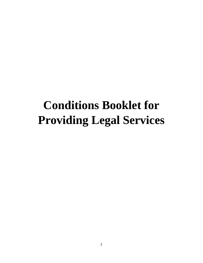# **Conditions Booklet for Providing Legal Services**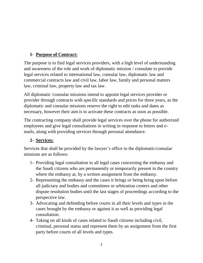# **1- Purpose of Contract:**

The purpose is to find legal services providers, with a high level of understanding and awareness of the role and work of diplomatic mission / consulate to provide legal services related to international law, consular law, diplomatic law and commercial contracts law and civil law, labor law, family and personal matters law, criminal law, property law and tax law.

All diplomatic /consular missions intend to appoint legal services provider or provider through contracts with specific standards and prices for three years, as the diplomatic and consular missions reserve the right to edit tasks and dates as necessary, however their aim is to activate these contracts as soon as possible.

The contracting company shall provide legal services over the phone for authorized employees and give legal consultations in writing in response to letters and emails, along with providing services through personal attendance.

#### **2- Services:**

Services that shall be provided by the lawyer's office to the diplomatic/consular missions are as follows:

- 1- Providing legal consultation to all legal cases concerning the embassy and the Saudi citizens who are permanently or temporarily present in the country where the embassy at, by a written assignment from the embassy.
- 2- Representing the embassy and the cases it brings or being bring upon before all [judiciary](http://context.reverso.net/translation/english-arabic/judiciary) and bodies and committees or [arbitration centers](http://context.reverso.net/translation/english-arabic/Arbitration+Centres) and other dispute resolution bodies until the last stages of proceedings according to the perspective law.
- 3- Advocating and defending before courts in all their levels and types in the cases brought by the embassy or against it as well as providing legal consultation.
- 4- Taking on all kinds of cases related to Saudi citizens including civil, criminal, personal status and represent them by an assignment from the first party before courts of all levels and types.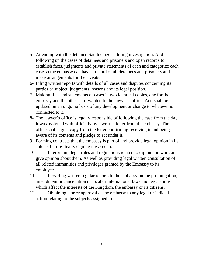- 5- Attending with the detained Saudi citizens during investigation. And following up the cases of detainees and prisoners and open records to establish facts, judgments and private statements of each and categorize each case so the embassy can have a record of all detainees and prisoners and make arrangements for their visits.
- 6- Filing written reports with details of all cases and disputes concerning its parties or subject, judgments, reasons and its legal position.
- 7- Making files and statements of cases in two identical copies, one for the embassy and the other is forwarded to the lawyer's office. And shall be updated on an ongoing basis of any development or change to whatever is connected to it.
- 8- The lawyer's office is legally responsible of following the case from the day it was assigned with officially by a written letter from the embassy. The office shall sign a copy from the letter confirming receiving it and being aware of its contents and pledge to act under it.
- 9- Forming contracts that the embassy is part of and provide legal opinion in its subject before finally signing these contracts.
- 10- Interpreting legal rules and regulations related to diplomatic work and give opinion about them. As well as providing legal written consultation of all related immunities and privileges granted by the Embassy to its employees.
- 11- Providing written regular reports to the embassy on the promulgation, amendment or cancellation of local or international laws and legislations which affect the interests of the Kingdom, the embassy or its citizens.
- 12- Obtaining a prior approval of the embassy to any legal or judicial action relating to the subjects assigned to it.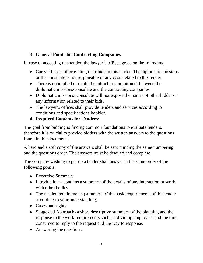# **3- General Points for Contracting Companies**

In case of accepting this tender, the lawyer's office agrees on the following:

- Carry all costs of providing their bids in this tender. The diplomatic missions or the consulate is not responsible of any costs related to this tender.
- There is no implied or explicit contract or commitment between the diplomatic missions/consulate and the contracting companies.
- Diplomatic missions/ consulate will not expose the names of other bidder or any information related to their bids.
- The lawyer's offices shall provide tenders and services according to [conditions and specifications booklet](http://context.reverso.net/translation/english-arabic/conditions+and+specifications+booklet).

#### **4- Required Contents for Tenders:**

The goal from bidding is finding common foundations to evaluate tenders, therefore it is crucial to provide bidders with the written answers to the questions found in this document.

A hard and a soft copy of the answers shall be sent minding the same numbering and the questions order. The answers must be detailed and complete.

The company wishing to put up a tender shall answer in the same order of the following points:

- Executive Summary
- Introduction contains a summary of the details of any interaction or work with other bodies.
- The needed requirements (summery of the basic requirements of this tender according to your understanding).
- Cases and rights.
- Suggested Approach- a short descriptive summery of the planning and the response to the work requirements such as: dividing employees and the time consumed to reply to the request and the way to response.
- Answering the questions.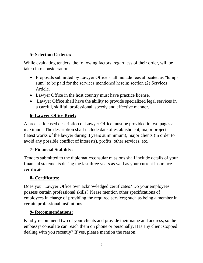# **5- Selection Criteria:**

While evaluating tenders, the following factors, regardless of their order, will be taken into consideration:

- Proposals submitted by Lawyer Office shall include fees allocated as "lumpsum" to be paid for the services mentioned herein; section (2) Services Article.
- Lawyer Office in the host country must have practice license.
- Lawyer Office shall have the ability to provide specialized legal services in a careful, skillful, professional, speedy and effective manner.

# **6- Lawyer Office Brief:**

A precise focused description of Lawyer Office must be provided in two pages at maximum. The description shall include date of establishment, major projects (latest works of the lawyer during 3 years at minimum), major clients (in order to avoid any possible conflict of interests), profits, other services, etc.

## **7- Financial Stability:**

Tenders submitted to the diplomatic/consular missions shall include details of your financial statements during the last three years as well as your current insurance certificate.

# **8- Certificates:**

Does your Lawyer Office own acknowledged certificates? Do your employees possess certain professional skills? Please mention other specifications of employees in charge of providing the required services; such as being a member in certain professional institutions.

## **9- Recommendations:**

Kindly recommend two of your clients and provide their name and address, so the embassy/ consulate can reach them on phone or personally. Has any client stopped dealing with you recently? If yes, please mention the reason.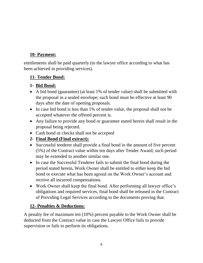# **10- Payment:**

entitlements shall be paid quarterly (to the lawyer office according to what has been achieved in providing services).

#### **11- Tender Bond:**

# **1- Bid Bond:**

- A bid bond (guarantee) (at least 1% of tender value) shall be submitted with the proposal in a sealed envelope; such bond must be effective at least 90 days after the date of opening proposals.
- In case bid bond is less than 1% of tender value, the proposal shall not be accepted whatever the offered percent is.
- Any failure to provide any bond or guarantee stated herein shall result in the proposal being rejected.
- Cash bond or checks shall not be accepted

# **2- Final Bond (Final extract):**

- Successful tenderer shall provide a final bond in the amount of five percent (5%) of the Contract value within ten days after Tender Award; such period may be extended to another similar one.
- In case the Successful Tenderer fails to submit the final bond during the period stated herein, Work Owner shall be entitled to either keep the bid bond or execute what has been agreed on the Work Owner's account and receive all incurred compensations.
- Work Owner shall keep the final bond. After performing all lawyer office's obligations and required services, final bond shall be released in the Contract of Providing Legal Services according to the documents proving that.

## **12- Penalties & Deductions:**

A penalty fee of maximum ten (10%) percent payable to the Work Owner shall be deducted from the Contract value in case the Lawyer Office fails to provide supervision or fails to perform its obligations.